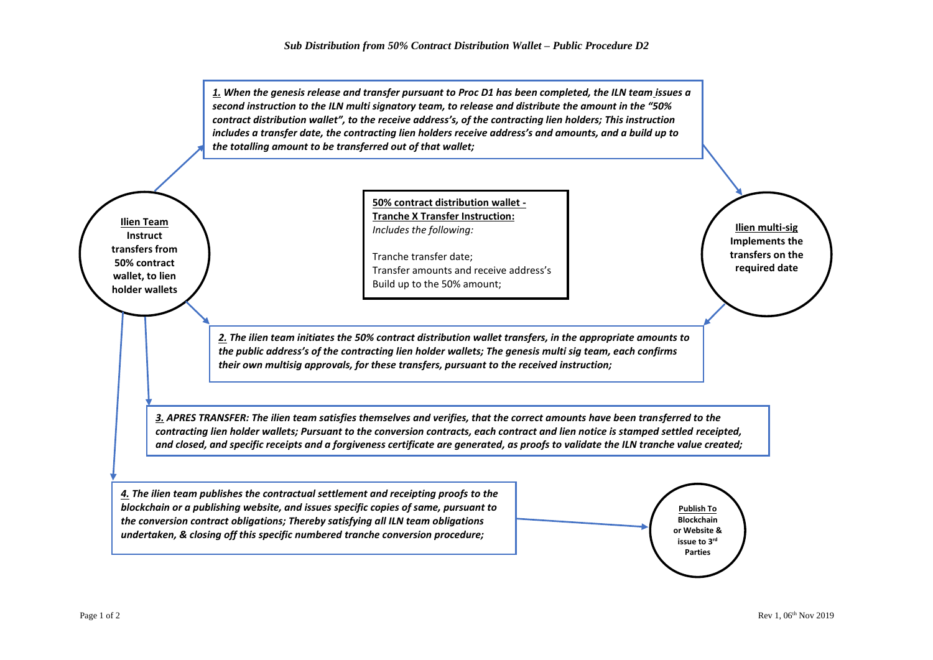*1. When the genesis release and transfer pursuant to Proc D1 has been completed, the ILN team issues a second instruction to the ILN multi signatory team, to release and distribute the amount in the "50% contract distribution wallet", to the receive address's, of the contracting lien holders; This instruction includes a transfer date, the contracting lien holders receive address's and amounts, and a build up to the totalling amount to be transferred out of that wallet;*

**Ilien Team Instruct transfers from 50% contract wallet, to lien holder wallets**

**50% contract distribution wallet - Tranche X Transfer Instruction:**  *Includes the following:*

Tranche transfer date; Transfer amounts and receive address's Build up to the 50% amount;

*2. The ilien team initiates the 50% contract distribution wallet transfers, in the appropriate amounts to the public address's of the contracting lien holder wallets; The genesis multi sig team, each confirms their own multisig approvals, for these transfers, pursuant to the received instruction;*

*3. APRES TRANSFER: The ilien team satisfies themselves and verifies, that the correct amounts have been transferred to the contracting lien holder wallets; Pursuant to the conversion contracts, each contract and lien notice is stamped settled receipted, and closed, and specific receipts and a forgiveness certificate are generated, as proofs to validate the ILN tranche value created;* 

*4. The ilien team publishes the contractual settlement and receipting proofs to the blockchain or a publishing website, and issues specific copies of same, pursuant to the conversion contract obligations; Thereby satisfying all ILN team obligations undertaken, & closing off this specific numbered tranche conversion procedure;*



**Ilien multi-sig Implements the transfers on the required date**